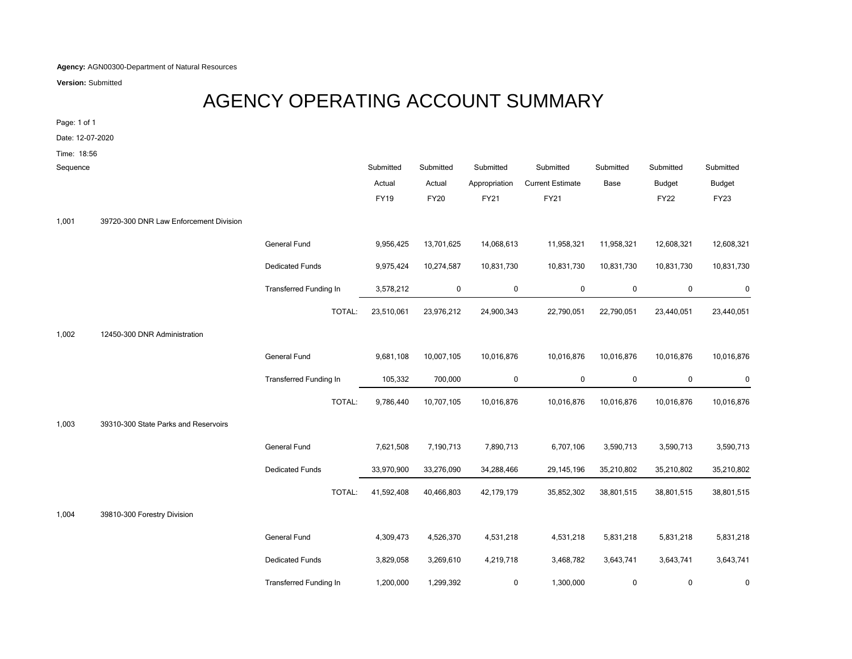**Agency:** AGN00300-Department of Natural Resources

**Version:** Submitted

## AGENCY OPERATING ACCOUNT SUMMARY

Page: 1 of 1

Date: 12-07-2020

Time: 18:56

| Sequence |                                        |                               | Submitted<br>Actual | Submitted<br>Actual | Submitted<br>Appropriation | Submitted<br><b>Current Estimate</b> | Submitted<br>Base | Submitted<br><b>Budget</b> | Submitted<br><b>Budget</b> |
|----------|----------------------------------------|-------------------------------|---------------------|---------------------|----------------------------|--------------------------------------|-------------------|----------------------------|----------------------------|
|          |                                        |                               | <b>FY19</b>         | <b>FY20</b>         | FY21                       | FY21                                 |                   | <b>FY22</b>                | <b>FY23</b>                |
|          |                                        |                               |                     |                     |                            |                                      |                   |                            |                            |
| 1,001    | 39720-300 DNR Law Enforcement Division |                               |                     |                     |                            |                                      |                   |                            |                            |
|          |                                        | General Fund                  | 9,956,425           | 13,701,625          | 14,068,613                 | 11,958,321                           | 11,958,321        | 12,608,321                 | 12,608,321                 |
|          |                                        | <b>Dedicated Funds</b>        | 9,975,424           | 10,274,587          | 10,831,730                 | 10,831,730                           | 10,831,730        | 10,831,730                 | 10,831,730                 |
|          |                                        | <b>Transferred Funding In</b> | 3,578,212           | 0                   | $\mathbf 0$                | $\mathbf 0$                          | 0                 | $\mathbf 0$                | 0                          |
|          |                                        | TOTAL:                        | 23,510,061          | 23,976,212          | 24,900,343                 | 22,790,051                           | 22,790,051        | 23,440,051                 | 23,440,051                 |
| 1,002    | 12450-300 DNR Administration           |                               |                     |                     |                            |                                      |                   |                            |                            |
|          |                                        | General Fund                  | 9,681,108           | 10,007,105          | 10,016,876                 | 10,016,876                           | 10,016,876        | 10,016,876                 | 10,016,876                 |
|          |                                        | <b>Transferred Funding In</b> | 105,332             | 700,000             | $\mathbf 0$                | $\mathbf 0$                          | 0                 | 0                          | 0                          |
|          |                                        | TOTAL:                        | 9,786,440           | 10,707,105          | 10,016,876                 | 10,016,876                           | 10,016,876        | 10,016,876                 | 10,016,876                 |
| 1,003    | 39310-300 State Parks and Reservoirs   |                               |                     |                     |                            |                                      |                   |                            |                            |
|          |                                        | General Fund                  | 7,621,508           | 7,190,713           | 7,890,713                  | 6,707,106                            | 3,590,713         | 3,590,713                  | 3,590,713                  |
|          |                                        | <b>Dedicated Funds</b>        | 33,970,900          | 33,276,090          | 34,288,466                 | 29, 145, 196                         | 35,210,802        | 35,210,802                 | 35,210,802                 |
|          |                                        | TOTAL:                        | 41,592,408          | 40,466,803          | 42,179,179                 | 35,852,302                           | 38,801,515        | 38,801,515                 | 38,801,515                 |
| 1,004    | 39810-300 Forestry Division            |                               |                     |                     |                            |                                      |                   |                            |                            |
|          |                                        | General Fund                  | 4,309,473           | 4,526,370           | 4,531,218                  | 4,531,218                            | 5,831,218         | 5,831,218                  | 5,831,218                  |
|          |                                        | <b>Dedicated Funds</b>        | 3,829,058           | 3,269,610           | 4,219,718                  | 3,468,782                            | 3,643,741         | 3,643,741                  | 3,643,741                  |
|          |                                        | <b>Transferred Funding In</b> | 1,200,000           | 1,299,392           | 0                          | 1,300,000                            | 0                 | 0                          | 0                          |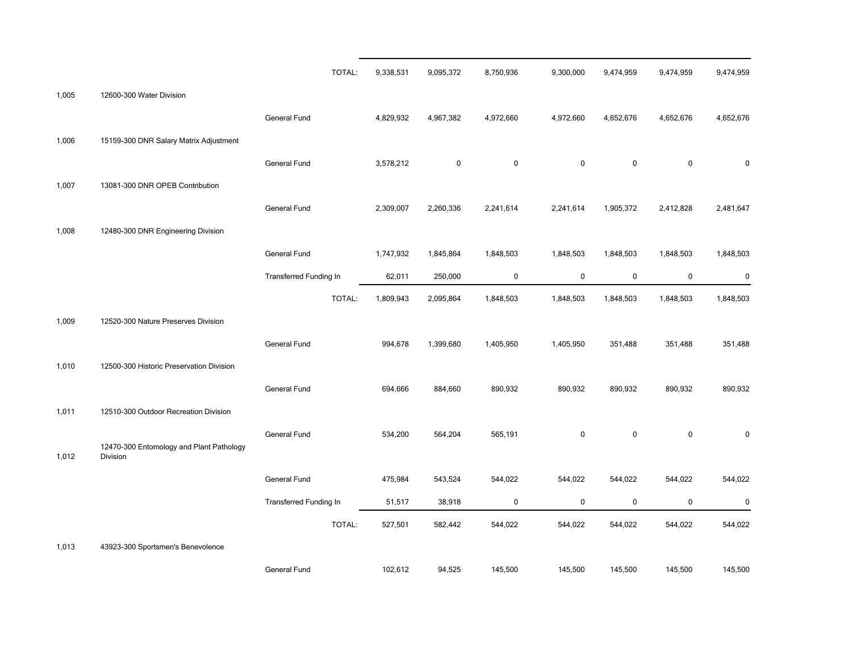|       |                                                      | TOTAL:                        | 9,338,531 | 9,095,372   | 8,750,936   | 9,300,000   | 9,474,959   | 9,474,959   | 9,474,959 |
|-------|------------------------------------------------------|-------------------------------|-----------|-------------|-------------|-------------|-------------|-------------|-----------|
| 1,005 | 12600-300 Water Division                             |                               |           |             |             |             |             |             |           |
|       |                                                      | General Fund                  | 4,829,932 | 4,967,382   | 4,972,660   | 4,972,660   | 4,652,676   | 4,652,676   | 4,652,676 |
| 1,006 | 15159-300 DNR Salary Matrix Adjustment               |                               |           |             |             |             |             |             |           |
|       |                                                      | General Fund                  | 3,578,212 | $\mathbf 0$ | $\mathbf 0$ | $\mathbf 0$ | $\mathbf 0$ | $\pmb{0}$   | $\pmb{0}$ |
| 1,007 | 13081-300 DNR OPEB Contribution                      |                               |           |             |             |             |             |             |           |
|       |                                                      | General Fund                  | 2,309,007 | 2,260,336   | 2,241,614   | 2,241,614   | 1,905,372   | 2,412,828   | 2,481,647 |
| 1,008 | 12480-300 DNR Engineering Division                   |                               |           |             |             |             |             |             |           |
|       |                                                      | General Fund                  | 1,747,932 | 1,845,864   | 1,848,503   | 1,848,503   | 1,848,503   | 1,848,503   | 1,848,503 |
|       |                                                      | Transferred Funding In        | 62,011    | 250,000     | $\mathbf 0$ | $\mathbf 0$ | $\mathbf 0$ | $\pmb{0}$   | 0         |
|       |                                                      | TOTAL:                        | 1,809,943 | 2,095,864   | 1,848,503   | 1,848,503   | 1,848,503   | 1,848,503   | 1,848,503 |
| 1,009 | 12520-300 Nature Preserves Division                  |                               |           |             |             |             |             |             |           |
|       |                                                      | General Fund                  | 994,678   | 1,399,680   | 1,405,950   | 1,405,950   | 351,488     | 351,488     | 351,488   |
| 1,010 | 12500-300 Historic Preservation Division             |                               |           |             |             |             |             |             |           |
|       |                                                      | General Fund                  | 694,666   | 884,660     | 890,932     | 890,932     | 890,932     | 890,932     | 890,932   |
| 1,011 | 12510-300 Outdoor Recreation Division                |                               |           |             |             |             |             |             |           |
| 1,012 | 12470-300 Entomology and Plant Pathology<br>Division | General Fund                  | 534,200   | 564,204     | 565,191     | $\mathbf 0$ | $\pmb{0}$   | 0           | $\pmb{0}$ |
|       |                                                      | General Fund                  | 475,984   | 543,524     | 544,022     | 544,022     | 544,022     | 544,022     | 544,022   |
|       |                                                      | <b>Transferred Funding In</b> | 51,517    | 38,918      | $\mathbf 0$ | $\mathbf 0$ | $\mathbf 0$ | $\mathbf 0$ | 0         |
|       |                                                      | TOTAL:                        | 527,501   | 582,442     | 544,022     | 544,022     | 544,022     | 544,022     | 544,022   |
| 1,013 | 43923-300 Sportsmen's Benevolence                    |                               |           |             |             |             |             |             |           |
|       |                                                      | General Fund                  | 102,612   | 94,525      | 145,500     | 145,500     | 145,500     | 145,500     | 145,500   |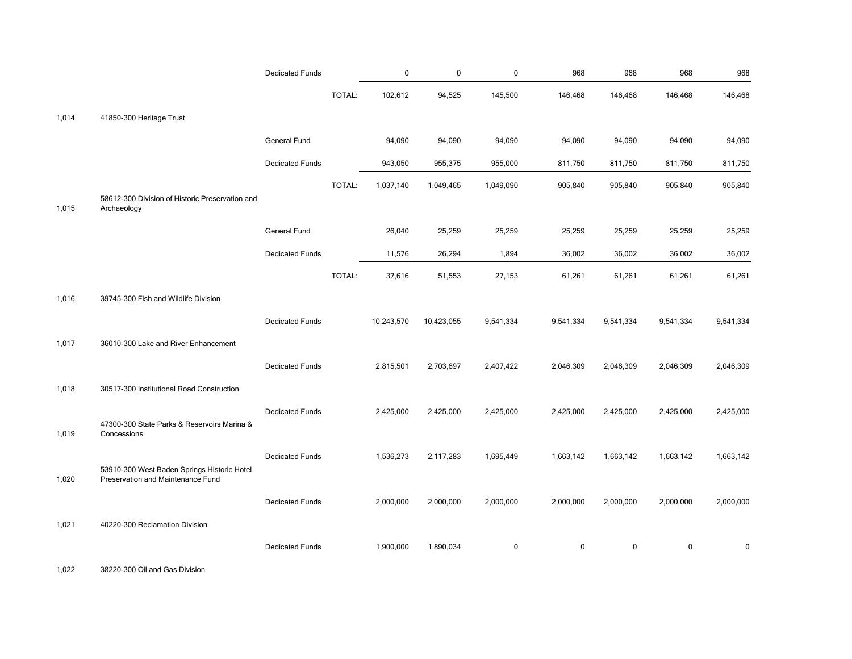|       |                                                                | <b>Dedicated Funds</b> |        | 0          | $\mathbf 0$ | $\mathbf 0$ | 968         | 968         | 968         | 968       |
|-------|----------------------------------------------------------------|------------------------|--------|------------|-------------|-------------|-------------|-------------|-------------|-----------|
|       |                                                                |                        | TOTAL: | 102,612    | 94,525      | 145,500     | 146,468     | 146,468     | 146,468     | 146,468   |
| 1,014 | 41850-300 Heritage Trust                                       |                        |        |            |             |             |             |             |             |           |
|       |                                                                | General Fund           |        | 94,090     | 94,090      | 94,090      | 94,090      | 94,090      | 94,090      | 94,090    |
|       |                                                                | <b>Dedicated Funds</b> |        | 943,050    | 955,375     | 955,000     | 811,750     | 811,750     | 811,750     | 811,750   |
| 1,015 | 58612-300 Division of Historic Preservation and<br>Archaeology |                        | TOTAL: | 1,037,140  | 1,049,465   | 1,049,090   | 905,840     | 905,840     | 905,840     | 905,840   |
|       |                                                                | General Fund           |        | 26,040     | 25,259      | 25,259      | 25,259      | 25,259      | 25,259      | 25,259    |
|       |                                                                | <b>Dedicated Funds</b> |        | 11,576     | 26,294      | 1,894       | 36,002      | 36,002      | 36,002      | 36,002    |
|       |                                                                |                        | TOTAL: | 37,616     | 51,553      | 27,153      | 61,261      | 61,261      | 61,261      | 61,261    |
| 1,016 | 39745-300 Fish and Wildlife Division                           |                        |        |            |             |             |             |             |             |           |
|       |                                                                | <b>Dedicated Funds</b> |        | 10,243,570 | 10,423,055  | 9,541,334   | 9,541,334   | 9,541,334   | 9,541,334   | 9,541,334 |
| 1,017 | 36010-300 Lake and River Enhancement                           |                        |        |            |             |             |             |             |             |           |
|       |                                                                | <b>Dedicated Funds</b> |        | 2,815,501  | 2,703,697   | 2,407,422   | 2,046,309   | 2,046,309   | 2,046,309   | 2,046,309 |
| 1,018 | 30517-300 Institutional Road Construction                      |                        |        |            |             |             |             |             |             |           |
| 1,019 | 47300-300 State Parks & Reservoirs Marina &<br>Concessions     | <b>Dedicated Funds</b> |        | 2,425,000  | 2,425,000   | 2,425,000   | 2,425,000   | 2,425,000   | 2,425,000   | 2,425,000 |
|       | 53910-300 West Baden Springs Historic Hotel                    | <b>Dedicated Funds</b> |        | 1,536,273  | 2,117,283   | 1,695,449   | 1,663,142   | 1,663,142   | 1,663,142   | 1,663,142 |
| 1,020 | Preservation and Maintenance Fund                              | <b>Dedicated Funds</b> |        | 2,000,000  | 2,000,000   | 2,000,000   | 2,000,000   | 2,000,000   | 2,000,000   | 2,000,000 |
| 1,021 | 40220-300 Reclamation Division                                 |                        |        |            |             |             |             |             |             |           |
|       |                                                                | <b>Dedicated Funds</b> |        | 1,900,000  | 1,890,034   | $\mathbf 0$ | $\mathbf 0$ | $\mathbf 0$ | $\mathbf 0$ | $\Omega$  |

1,022 38220-300 Oil and Gas Division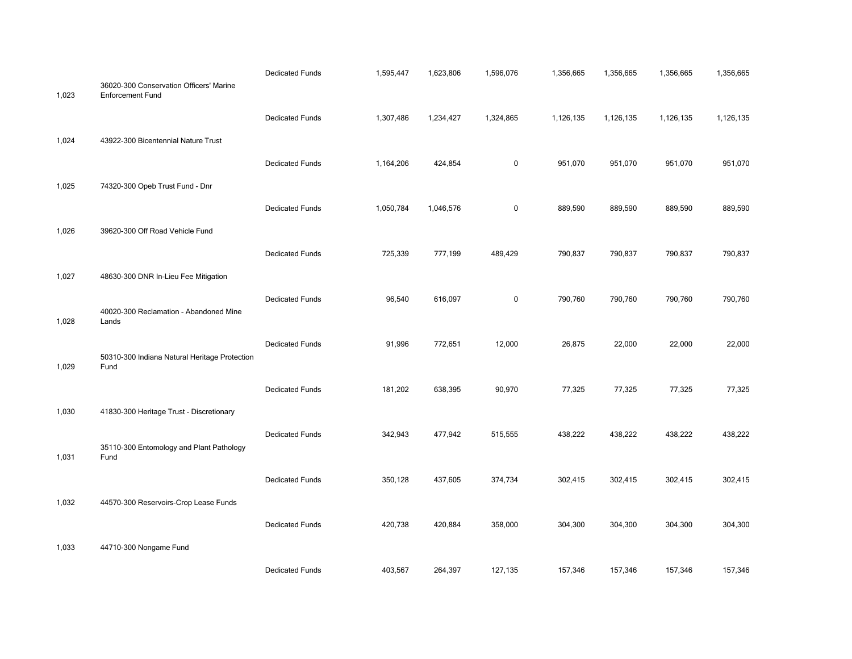| 1,023 | 36020-300 Conservation Officers' Marine<br><b>Enforcement Fund</b> | <b>Dedicated Funds</b> | 1,595,447 | 1,623,806 | 1,596,076   | 1,356,665 | 1,356,665 | 1,356,665 | 1,356,665 |
|-------|--------------------------------------------------------------------|------------------------|-----------|-----------|-------------|-----------|-----------|-----------|-----------|
|       |                                                                    | <b>Dedicated Funds</b> | 1,307,486 | 1,234,427 | 1,324,865   | 1,126,135 | 1,126,135 | 1,126,135 | 1,126,135 |
| 1,024 | 43922-300 Bicentennial Nature Trust                                |                        |           |           |             |           |           |           |           |
|       |                                                                    | <b>Dedicated Funds</b> | 1,164,206 | 424,854   | $\mathbf 0$ | 951,070   | 951,070   | 951,070   | 951,070   |
| 1,025 | 74320-300 Opeb Trust Fund - Dnr                                    |                        |           |           |             |           |           |           |           |
|       |                                                                    | <b>Dedicated Funds</b> | 1,050,784 | 1,046,576 | $\mathbf 0$ | 889,590   | 889,590   | 889,590   | 889,590   |
| 1,026 | 39620-300 Off Road Vehicle Fund                                    |                        |           |           |             |           |           |           |           |
|       |                                                                    | <b>Dedicated Funds</b> | 725,339   | 777,199   | 489,429     | 790,837   | 790,837   | 790,837   | 790,837   |
| 1,027 | 48630-300 DNR In-Lieu Fee Mitigation                               |                        |           |           |             |           |           |           |           |
| 1,028 | 40020-300 Reclamation - Abandoned Mine<br>Lands                    | <b>Dedicated Funds</b> | 96,540    | 616,097   | $\mathbf 0$ | 790,760   | 790,760   | 790,760   | 790,760   |
|       |                                                                    | <b>Dedicated Funds</b> | 91,996    | 772,651   | 12,000      | 26,875    | 22,000    | 22,000    | 22,000    |
| 1,029 | 50310-300 Indiana Natural Heritage Protection<br>Fund              |                        |           |           |             |           |           |           |           |
|       |                                                                    | <b>Dedicated Funds</b> | 181,202   | 638,395   | 90,970      | 77,325    | 77,325    | 77,325    | 77,325    |
| 1,030 | 41830-300 Heritage Trust - Discretionary                           |                        |           |           |             |           |           |           |           |
|       |                                                                    | <b>Dedicated Funds</b> | 342,943   | 477,942   | 515,555     | 438,222   | 438,222   | 438,222   | 438,222   |
| 1,031 | 35110-300 Entomology and Plant Pathology<br>Fund                   |                        |           |           |             |           |           |           |           |
|       |                                                                    | <b>Dedicated Funds</b> | 350,128   | 437,605   | 374,734     | 302,415   | 302,415   | 302,415   | 302,415   |
| 1,032 | 44570-300 Reservoirs-Crop Lease Funds                              |                        |           |           |             |           |           |           |           |
|       |                                                                    | <b>Dedicated Funds</b> | 420,738   | 420,884   | 358,000     | 304,300   | 304,300   | 304,300   | 304,300   |
| 1,033 | 44710-300 Nongame Fund                                             |                        |           |           |             |           |           |           |           |
|       |                                                                    | <b>Dedicated Funds</b> | 403,567   | 264,397   | 127,135     | 157,346   | 157,346   | 157,346   | 157,346   |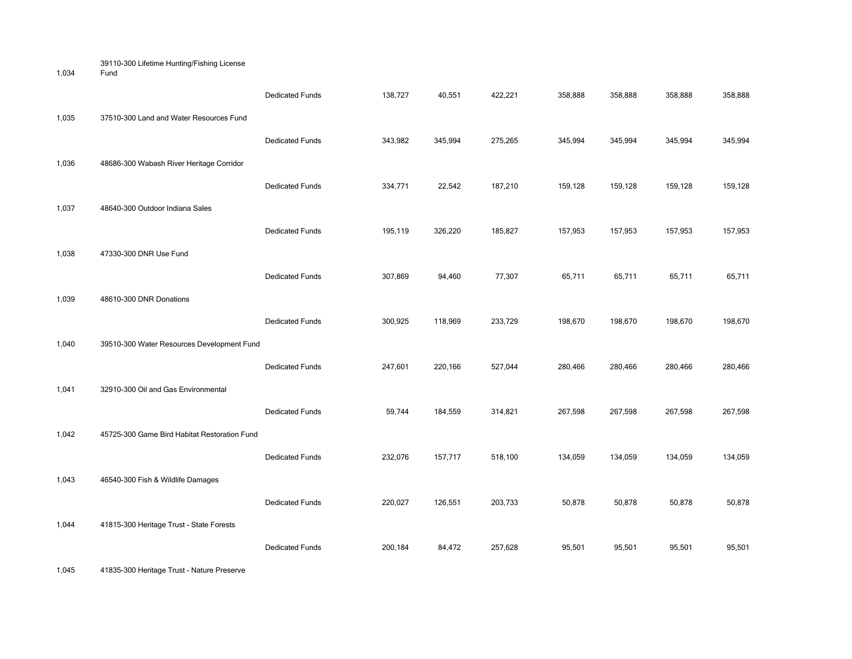39110-300 Lifetime Hunting/Fishing License

|       |                                              | <b>Dedicated Funds</b> | 138,727 | 40,551  | 422,221 | 358,888 | 358,888 | 358,888 | 358,888 |
|-------|----------------------------------------------|------------------------|---------|---------|---------|---------|---------|---------|---------|
| 1,035 | 37510-300 Land and Water Resources Fund      |                        |         |         |         |         |         |         |         |
|       |                                              | <b>Dedicated Funds</b> | 343,982 | 345,994 | 275,265 | 345,994 | 345,994 | 345,994 | 345,994 |
| 1,036 | 48686-300 Wabash River Heritage Corridor     |                        |         |         |         |         |         |         |         |
|       |                                              | <b>Dedicated Funds</b> | 334,771 | 22,542  | 187,210 | 159,128 | 159,128 | 159,128 | 159,128 |
| 1,037 | 48640-300 Outdoor Indiana Sales              |                        |         |         |         |         |         |         |         |
|       |                                              | <b>Dedicated Funds</b> | 195,119 | 326,220 | 185,827 | 157,953 | 157,953 | 157,953 | 157,953 |
| 1,038 | 47330-300 DNR Use Fund                       |                        |         |         |         |         |         |         |         |
|       |                                              | <b>Dedicated Funds</b> | 307,869 | 94,460  | 77,307  | 65,711  | 65,711  | 65,711  | 65,711  |
| 1,039 | 48610-300 DNR Donations                      |                        |         |         |         |         |         |         |         |
|       |                                              | <b>Dedicated Funds</b> | 300,925 | 118,969 | 233,729 | 198,670 | 198,670 | 198,670 | 198,670 |
| 1,040 | 39510-300 Water Resources Development Fund   |                        |         |         |         |         |         |         |         |
|       |                                              | <b>Dedicated Funds</b> | 247,601 | 220,166 | 527,044 | 280,466 | 280,466 | 280,466 | 280,466 |
| 1,041 | 32910-300 Oil and Gas Environmental          |                        |         |         |         |         |         |         |         |
|       |                                              | <b>Dedicated Funds</b> | 59,744  | 184,559 | 314,821 | 267,598 | 267,598 | 267,598 | 267,598 |
| 1,042 | 45725-300 Game Bird Habitat Restoration Fund |                        |         |         |         |         |         |         |         |
|       |                                              | <b>Dedicated Funds</b> | 232,076 | 157,717 | 518,100 | 134,059 | 134,059 | 134,059 | 134,059 |
| 1,043 | 46540-300 Fish & Wildlife Damages            |                        |         |         |         |         |         |         |         |
|       |                                              | <b>Dedicated Funds</b> | 220,027 | 126,551 | 203,733 | 50,878  | 50,878  | 50,878  | 50,878  |
| 1,044 | 41815-300 Heritage Trust - State Forests     |                        |         |         |         |         |         |         |         |
|       |                                              | <b>Dedicated Funds</b> | 200,184 | 84,472  | 257,628 | 95,501  | 95,501  | 95,501  | 95,501  |
|       |                                              |                        |         |         |         |         |         |         |         |

1,045 41835-300 Heritage Trust - Nature Preserve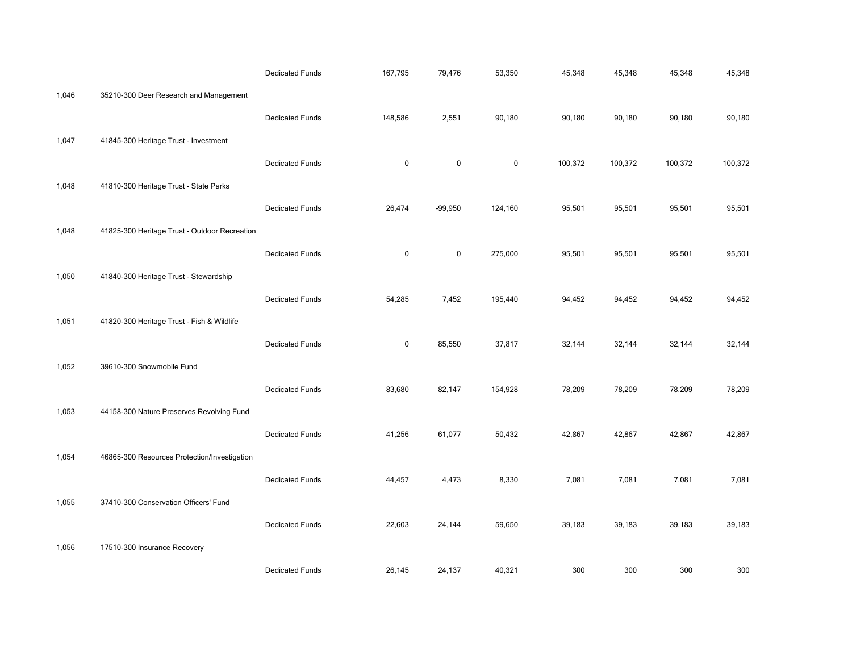|       |                                               | <b>Dedicated Funds</b> | 167,795     | 79,476      | 53,350    | 45,348  | 45,348  | 45,348  | 45,348  |
|-------|-----------------------------------------------|------------------------|-------------|-------------|-----------|---------|---------|---------|---------|
| 1,046 | 35210-300 Deer Research and Management        |                        |             |             |           |         |         |         |         |
|       |                                               | <b>Dedicated Funds</b> | 148,586     | 2,551       | 90,180    | 90,180  | 90,180  | 90,180  | 90,180  |
| 1,047 | 41845-300 Heritage Trust - Investment         |                        |             |             |           |         |         |         |         |
|       |                                               | <b>Dedicated Funds</b> | $\mathbf 0$ | $\mathbf 0$ | $\pmb{0}$ | 100,372 | 100,372 | 100,372 | 100,372 |
| 1,048 | 41810-300 Heritage Trust - State Parks        |                        |             |             |           |         |         |         |         |
|       |                                               | <b>Dedicated Funds</b> | 26,474      | $-99,950$   | 124,160   | 95,501  | 95,501  | 95,501  | 95,501  |
| 1,048 | 41825-300 Heritage Trust - Outdoor Recreation |                        |             |             |           |         |         |         |         |
|       |                                               | <b>Dedicated Funds</b> | $\pmb{0}$   | $\mathbf 0$ | 275,000   | 95,501  | 95,501  | 95,501  | 95,501  |
| 1,050 | 41840-300 Heritage Trust - Stewardship        |                        |             |             |           |         |         |         |         |
|       |                                               | <b>Dedicated Funds</b> | 54,285      | 7,452       | 195,440   | 94,452  | 94,452  | 94,452  | 94,452  |
| 1,051 | 41820-300 Heritage Trust - Fish & Wildlife    |                        |             |             |           |         |         |         |         |
|       |                                               | <b>Dedicated Funds</b> | $\mathbf 0$ | 85,550      | 37,817    | 32,144  | 32,144  | 32,144  | 32,144  |
| 1,052 | 39610-300 Snowmobile Fund                     |                        |             |             |           |         |         |         |         |
|       |                                               | <b>Dedicated Funds</b> | 83,680      | 82,147      | 154,928   | 78,209  | 78,209  | 78,209  | 78,209  |
| 1,053 | 44158-300 Nature Preserves Revolving Fund     |                        |             |             |           |         |         |         |         |
|       |                                               | <b>Dedicated Funds</b> | 41,256      | 61,077      | 50,432    | 42,867  | 42,867  | 42,867  | 42,867  |
| 1,054 | 46865-300 Resources Protection/Investigation  |                        |             |             |           |         |         |         |         |
|       |                                               | <b>Dedicated Funds</b> | 44,457      | 4,473       | 8,330     | 7,081   | 7,081   | 7,081   | 7,081   |
| 1,055 | 37410-300 Conservation Officers' Fund         |                        |             |             |           |         |         |         |         |
|       |                                               | <b>Dedicated Funds</b> | 22,603      | 24,144      | 59,650    | 39,183  | 39,183  | 39,183  | 39,183  |
| 1,056 | 17510-300 Insurance Recovery                  |                        |             |             |           |         |         |         |         |
|       |                                               | <b>Dedicated Funds</b> | 26,145      | 24,137      | 40,321    | 300     | 300     | 300     | 300     |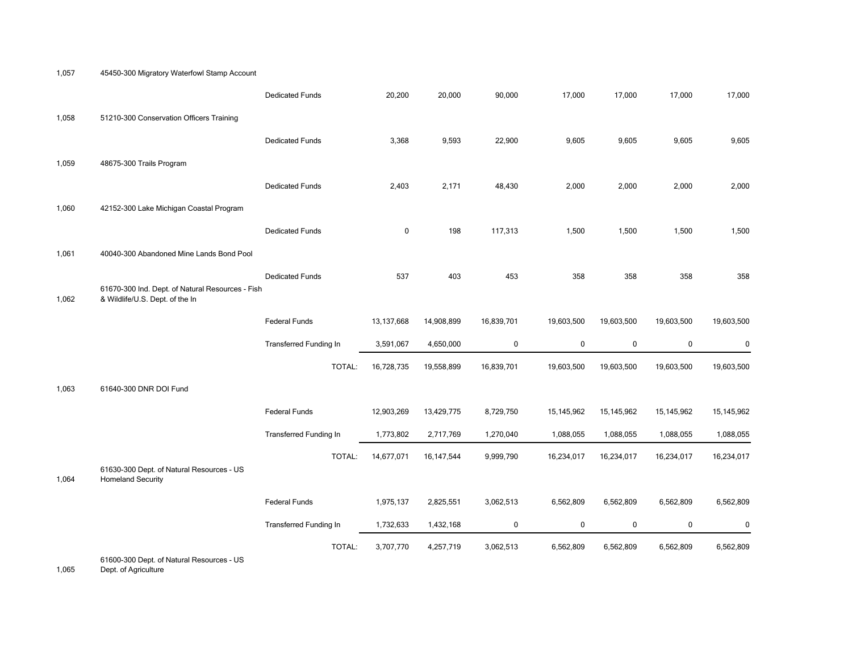1,057 45450-300 Migratory Waterfowl Stamp Account

|       |                                                                                     | <b>Dedicated Funds</b>        | 20,200       | 20,000       | 90,000     | 17,000     | 17,000     | 17,000     | 17,000       |
|-------|-------------------------------------------------------------------------------------|-------------------------------|--------------|--------------|------------|------------|------------|------------|--------------|
| 1,058 | 51210-300 Conservation Officers Training                                            |                               |              |              |            |            |            |            |              |
|       |                                                                                     | <b>Dedicated Funds</b>        | 3,368        | 9,593        | 22,900     | 9,605      | 9,605      | 9,605      | 9,605        |
| 1,059 | 48675-300 Trails Program                                                            |                               |              |              |            |            |            |            |              |
|       |                                                                                     | <b>Dedicated Funds</b>        | 2,403        | 2,171        | 48,430     | 2,000      | 2,000      | 2,000      | 2,000        |
| 1,060 | 42152-300 Lake Michigan Coastal Program                                             |                               |              |              |            |            |            |            |              |
|       |                                                                                     | <b>Dedicated Funds</b>        | $\mathbf 0$  | 198          | 117,313    | 1,500      | 1,500      | 1,500      | 1,500        |
| 1,061 | 40040-300 Abandoned Mine Lands Bond Pool                                            |                               |              |              |            |            |            |            |              |
|       |                                                                                     | <b>Dedicated Funds</b>        | 537          | 403          | 453        | 358        | 358        | 358        | 358          |
| 1,062 | 61670-300 Ind. Dept. of Natural Resources - Fish<br>& Wildlife/U.S. Dept. of the In |                               |              |              |            |            |            |            |              |
|       |                                                                                     | <b>Federal Funds</b>          | 13, 137, 668 | 14,908,899   | 16,839,701 | 19,603,500 | 19,603,500 | 19,603,500 | 19,603,500   |
|       |                                                                                     | <b>Transferred Funding In</b> | 3,591,067    | 4,650,000    | 0          | $\pmb{0}$  | $\pmb{0}$  | $\pmb{0}$  | $\pmb{0}$    |
|       |                                                                                     | TOTAL:                        | 16,728,735   | 19,558,899   | 16,839,701 | 19,603,500 | 19,603,500 | 19,603,500 | 19,603,500   |
| 1,063 | 61640-300 DNR DOI Fund                                                              |                               |              |              |            |            |            |            |              |
|       |                                                                                     | <b>Federal Funds</b>          | 12,903,269   | 13,429,775   | 8,729,750  | 15,145,962 | 15,145,962 | 15,145,962 | 15, 145, 962 |
|       |                                                                                     | <b>Transferred Funding In</b> | 1,773,802    | 2,717,769    | 1,270,040  | 1,088,055  | 1,088,055  | 1,088,055  | 1,088,055    |
|       |                                                                                     | TOTAL:                        | 14,677,071   | 16, 147, 544 | 9,999,790  | 16,234,017 | 16,234,017 | 16,234,017 | 16,234,017   |
| 1,064 | 61630-300 Dept. of Natural Resources - US<br><b>Homeland Security</b>               |                               |              |              |            |            |            |            |              |
|       |                                                                                     | <b>Federal Funds</b>          | 1,975,137    | 2,825,551    | 3,062,513  | 6,562,809  | 6,562,809  | 6,562,809  | 6,562,809    |
|       |                                                                                     |                               |              |              |            |            |            |            |              |
|       |                                                                                     | <b>Transferred Funding In</b> | 1,732,633    | 1,432,168    | 0          | 0          | 0          | 0          | $\mathbf 0$  |

1,065 **Dept.** of Agriculture Dept. of Agriculture No Funding Type 0 0 0 0 0 0 0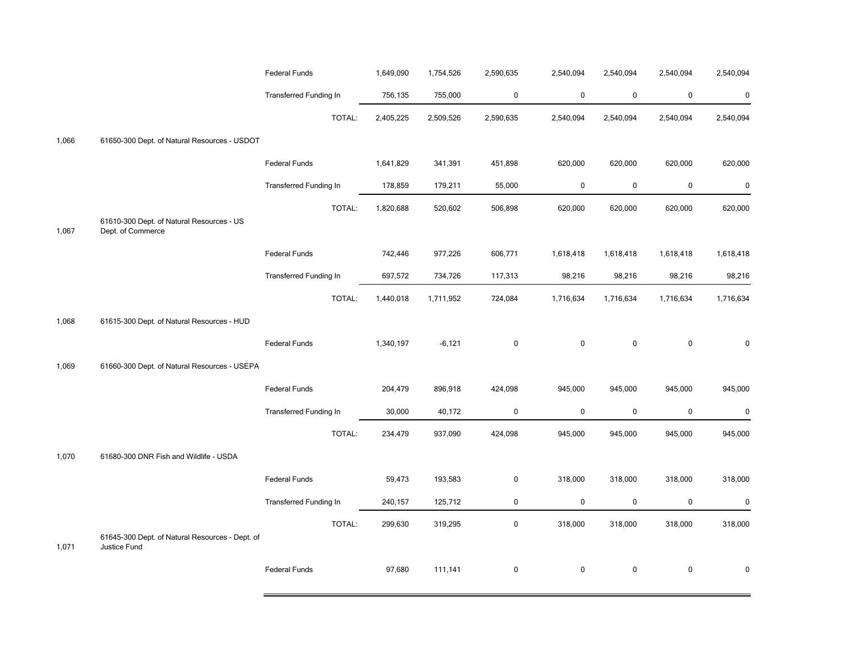|       |                                                                 | <b>Federal Funds</b>          | 1,649,090 | 1,754,526 | 2,590,635   | 2,540,094 | 2,540,094   | 2,540,094   | 2,540,094 |
|-------|-----------------------------------------------------------------|-------------------------------|-----------|-----------|-------------|-----------|-------------|-------------|-----------|
|       |                                                                 | <b>Transferred Funding In</b> | 756,135   | 755,000   | $\pmb{0}$   | $\pmb{0}$ | $\mathbf 0$ | $\pmb{0}$   | $\pmb{0}$ |
|       |                                                                 | TOTAL:                        | 2,405,225 | 2,509,526 | 2,590,635   | 2,540,094 | 2,540,094   | 2,540,094   | 2,540,094 |
| 1,066 | 61650-300 Dept. of Natural Resources - USDOT                    |                               |           |           |             |           |             |             |           |
|       |                                                                 | Federal Funds                 | 1,641,829 | 341,391   | 451,898     | 620,000   | 620,000     | 620,000     | 620,000   |
|       |                                                                 | <b>Transferred Funding In</b> | 178,859   | 179,211   | 55,000      | 0         | 0           | $\pmb{0}$   | $\pmb{0}$ |
| 1,067 | 61610-300 Dept. of Natural Resources - US<br>Dept. of Commerce  | TOTAL:                        | 1,820,688 | 520,602   | 506,898     | 620,000   | 620,000     | 620,000     | 620,000   |
|       |                                                                 | <b>Federal Funds</b>          | 742,446   | 977,226   | 606,771     | 1,618,418 | 1,618,418   | 1,618,418   | 1,618,418 |
|       |                                                                 | <b>Transferred Funding In</b> | 697,572   | 734,726   | 117,313     | 98,216    | 98,216      | 98,216      | 98,216    |
|       |                                                                 | TOTAL:                        | 1,440,018 | 1,711,952 | 724,084     | 1,716,634 | 1,716,634   | 1,716,634   | 1,716,634 |
| 1,068 | 61615-300 Dept. of Natural Resources - HUD                      |                               |           |           |             |           |             |             |           |
|       |                                                                 | <b>Federal Funds</b>          | 1,340,197 | $-6,121$  | $\pmb{0}$   | $\pmb{0}$ | $\pmb{0}$   | $\pmb{0}$   | $\pmb{0}$ |
| 1,069 | 61660-300 Dept. of Natural Resources - USEPA                    |                               |           |           |             |           |             |             |           |
|       |                                                                 | <b>Federal Funds</b>          | 204,479   | 896,918   | 424,098     | 945,000   | 945,000     | 945,000     | 945,000   |
|       |                                                                 | <b>Transferred Funding In</b> | 30,000    | 40,172    | $\pmb{0}$   | $\pmb{0}$ | 0           | $\mathbf 0$ | $\pmb{0}$ |
|       |                                                                 | TOTAL:                        | 234,479   | 937,090   | 424,098     | 945,000   | 945,000     | 945,000     | 945,000   |
| 1,070 | 61680-300 DNR Fish and Wildlife - USDA                          |                               |           |           |             |           |             |             |           |
|       |                                                                 | <b>Federal Funds</b>          | 59,473    | 193,583   | $\mathbf 0$ | 318,000   | 318,000     | 318,000     | 318,000   |
|       |                                                                 | <b>Transferred Funding In</b> | 240,157   | 125,712   | 0           | $\pmb{0}$ | 0           | $\pmb{0}$   | $\pmb{0}$ |
| 1,071 | 61645-300 Dept. of Natural Resources - Dept. of<br>Justice Fund | TOTAL:                        | 299,630   | 319,295   | 0           | 318,000   | 318,000     | 318,000     | 318,000   |
|       |                                                                 | <b>Federal Funds</b>          | 97,680    | 111,141   | $\mathbf 0$ | $\pmb{0}$ | 0           | $\mathbf 0$ | $\Omega$  |